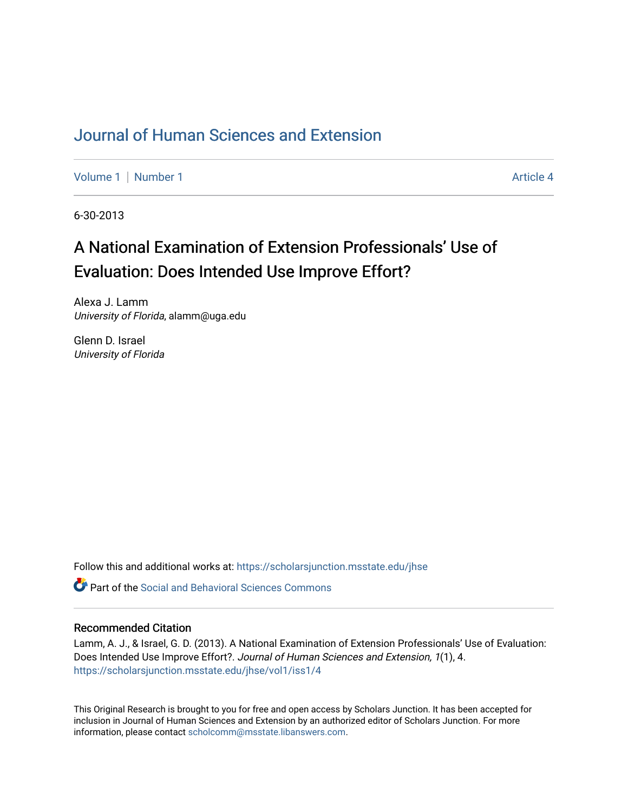# [Journal of Human Sciences and Extension](https://scholarsjunction.msstate.edu/jhse)

[Volume 1](https://scholarsjunction.msstate.edu/jhse/vol1) | [Number 1](https://scholarsjunction.msstate.edu/jhse/vol1/iss1) Article 4

6-30-2013

# A National Examination of Extension Professionals' Use of Evaluation: Does Intended Use Improve Effort?

Alexa J. Lamm University of Florida, alamm@uga.edu

Glenn D. Israel University of Florida

Follow this and additional works at: [https://scholarsjunction.msstate.edu/jhse](https://scholarsjunction.msstate.edu/jhse?utm_source=scholarsjunction.msstate.edu%2Fjhse%2Fvol1%2Fiss1%2F4&utm_medium=PDF&utm_campaign=PDFCoverPages)

 $\bullet$  Part of the Social and Behavioral Sciences Commons

#### Recommended Citation

Lamm, A. J., & Israel, G. D. (2013). A National Examination of Extension Professionals' Use of Evaluation: Does Intended Use Improve Effort?. Journal of Human Sciences and Extension, 1(1), 4. [https://scholarsjunction.msstate.edu/jhse/vol1/iss1/4](https://scholarsjunction.msstate.edu/jhse/vol1/iss1/4?utm_source=scholarsjunction.msstate.edu%2Fjhse%2Fvol1%2Fiss1%2F4&utm_medium=PDF&utm_campaign=PDFCoverPages)

This Original Research is brought to you for free and open access by Scholars Junction. It has been accepted for inclusion in Journal of Human Sciences and Extension by an authorized editor of Scholars Junction. For more information, please contact [scholcomm@msstate.libanswers.com](mailto:scholcomm@msstate.libanswers.com).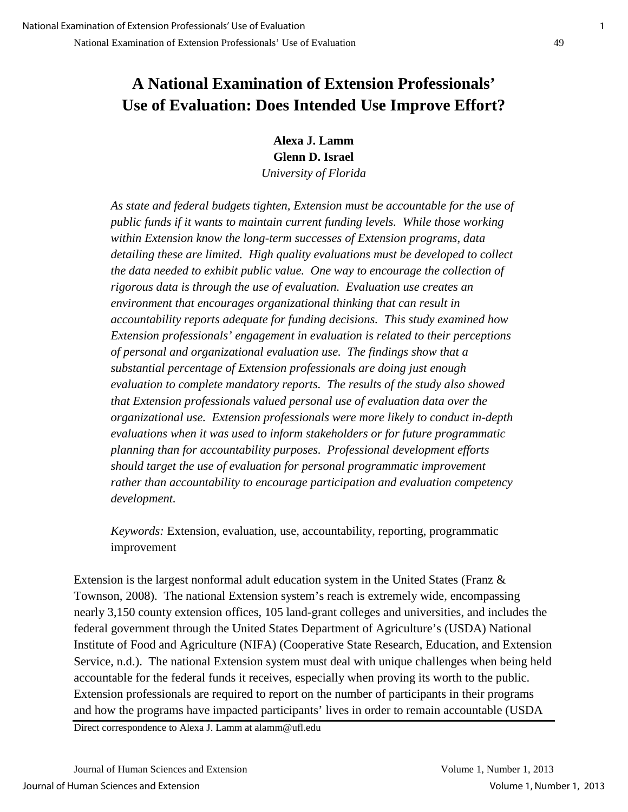# **A National Examination of Extension Professionals' Use of Evaluation: Does Intended Use Improve Effort?**

**Alexa J. Lamm Glenn D. Israel** *University of Florida*

*As state and federal budgets tighten, Extension must be accountable for the use of public funds if it wants to maintain current funding levels. While those working within Extension know the long-term successes of Extension programs, data detailing these are limited. High quality evaluations must be developed to collect the data needed to exhibit public value. One way to encourage the collection of rigorous data is through the use of evaluation. Evaluation use creates an environment that encourages organizational thinking that can result in accountability reports adequate for funding decisions. This study examined how Extension professionals' engagement in evaluation is related to their perceptions of personal and organizational evaluation use. The findings show that a substantial percentage of Extension professionals are doing just enough evaluation to complete mandatory reports. The results of the study also showed that Extension professionals valued personal use of evaluation data over the organizational use. Extension professionals were more likely to conduct in-depth evaluations when it was used to inform stakeholders or for future programmatic planning than for accountability purposes. Professional development efforts should target the use of evaluation for personal programmatic improvement rather than accountability to encourage participation and evaluation competency development.* 

*Keywords:* Extension, evaluation, use, accountability, reporting, programmatic improvement

Extension is the largest nonformal adult education system in the United States (Franz & Townson, 2008). The national Extension system's reach is extremely wide, encompassing nearly 3,150 county extension offices, 105 land-grant colleges and universities, and includes the federal government through the United States Department of Agriculture's (USDA) National Institute of Food and Agriculture (NIFA) (Cooperative State Research, Education, and Extension Service, n.d.). The national Extension system must deal with unique challenges when being held accountable for the federal funds it receives, especially when proving its worth to the public. Extension professionals are required to report on the number of participants in their programs and how the programs have impacted participants' lives in order to remain accountable (USDA

Direct correspondence to Alexa J. Lamm at alamm@ufl.edu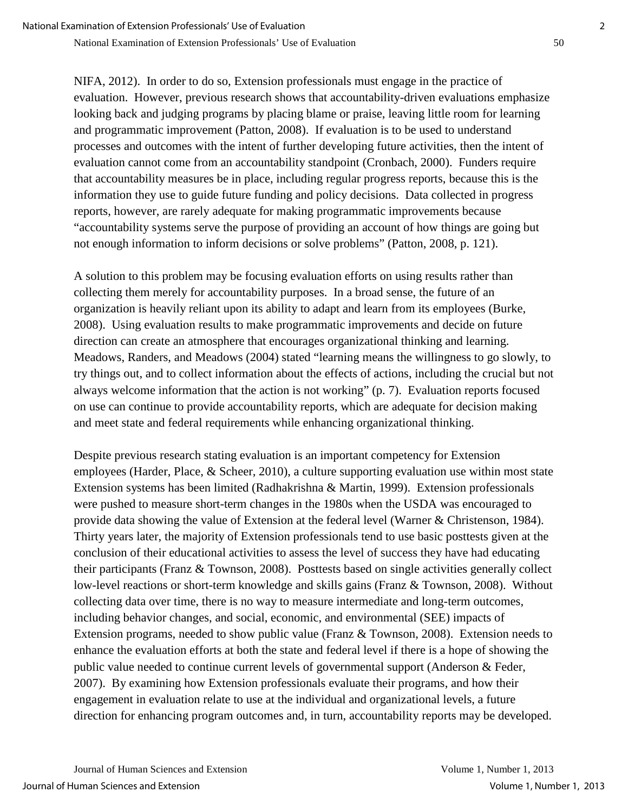NIFA, 2012). In order to do so, Extension professionals must engage in the practice of evaluation. However, previous research shows that accountability-driven evaluations emphasize looking back and judging programs by placing blame or praise, leaving little room for learning and programmatic improvement (Patton, 2008). If evaluation is to be used to understand processes and outcomes with the intent of further developing future activities, then the intent of evaluation cannot come from an accountability standpoint (Cronbach, 2000). Funders require that accountability measures be in place, including regular progress reports, because this is the information they use to guide future funding and policy decisions. Data collected in progress reports, however, are rarely adequate for making programmatic improvements because "accountability systems serve the purpose of providing an account of how things are going but not enough information to inform decisions or solve problems" (Patton, 2008, p. 121).

A solution to this problem may be focusing evaluation efforts on using results rather than collecting them merely for accountability purposes. In a broad sense, the future of an organization is heavily reliant upon its ability to adapt and learn from its employees (Burke, 2008). Using evaluation results to make programmatic improvements and decide on future direction can create an atmosphere that encourages organizational thinking and learning. Meadows, Randers, and Meadows (2004) stated "learning means the willingness to go slowly, to try things out, and to collect information about the effects of actions, including the crucial but not always welcome information that the action is not working" (p. 7). Evaluation reports focused on use can continue to provide accountability reports, which are adequate for decision making and meet state and federal requirements while enhancing organizational thinking.

Despite previous research stating evaluation is an important competency for Extension employees (Harder, Place, & Scheer, 2010), a culture supporting evaluation use within most state Extension systems has been limited (Radhakrishna & Martin, 1999). Extension professionals were pushed to measure short-term changes in the 1980s when the USDA was encouraged to provide data showing the value of Extension at the federal level (Warner & Christenson, 1984). Thirty years later, the majority of Extension professionals tend to use basic posttests given at the conclusion of their educational activities to assess the level of success they have had educating their participants (Franz & Townson, 2008). Posttests based on single activities generally collect low-level reactions or short-term knowledge and skills gains (Franz & Townson, 2008). Without collecting data over time, there is no way to measure intermediate and long-term outcomes, including behavior changes, and social, economic, and environmental (SEE) impacts of Extension programs, needed to show public value (Franz & Townson, 2008). Extension needs to enhance the evaluation efforts at both the state and federal level if there is a hope of showing the public value needed to continue current levels of governmental support (Anderson & Feder, 2007). By examining how Extension professionals evaluate their programs, and how their engagement in evaluation relate to use at the individual and organizational levels, a future direction for enhancing program outcomes and, in turn, accountability reports may be developed.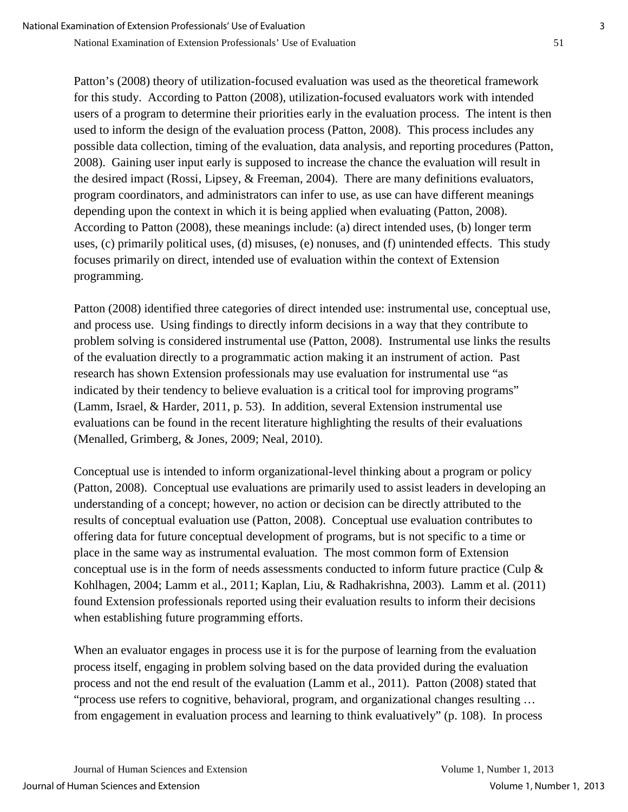Patton's (2008) theory of utilization-focused evaluation was used as the theoretical framework for this study. According to Patton (2008), utilization-focused evaluators work with intended users of a program to determine their priorities early in the evaluation process. The intent is then used to inform the design of the evaluation process (Patton, 2008). This process includes any possible data collection, timing of the evaluation, data analysis, and reporting procedures (Patton, 2008). Gaining user input early is supposed to increase the chance the evaluation will result in the desired impact (Rossi, Lipsey, & Freeman, 2004). There are many definitions evaluators, program coordinators, and administrators can infer to use, as use can have different meanings depending upon the context in which it is being applied when evaluating (Patton, 2008). According to Patton (2008), these meanings include: (a) direct intended uses, (b) longer term uses, (c) primarily political uses, (d) misuses, (e) nonuses, and (f) unintended effects. This study focuses primarily on direct, intended use of evaluation within the context of Extension programming.

Patton (2008) identified three categories of direct intended use: instrumental use, conceptual use, and process use. Using findings to directly inform decisions in a way that they contribute to problem solving is considered instrumental use (Patton, 2008). Instrumental use links the results of the evaluation directly to a programmatic action making it an instrument of action. Past research has shown Extension professionals may use evaluation for instrumental use "as indicated by their tendency to believe evaluation is a critical tool for improving programs" (Lamm, Israel, & Harder, 2011, p. 53). In addition, several Extension instrumental use evaluations can be found in the recent literature highlighting the results of their evaluations (Menalled, Grimberg, & Jones, 2009; Neal, 2010).

Conceptual use is intended to inform organizational-level thinking about a program or policy (Patton, 2008). Conceptual use evaluations are primarily used to assist leaders in developing an understanding of a concept; however, no action or decision can be directly attributed to the results of conceptual evaluation use (Patton, 2008). Conceptual use evaluation contributes to offering data for future conceptual development of programs, but is not specific to a time or place in the same way as instrumental evaluation. The most common form of Extension conceptual use is in the form of needs assessments conducted to inform future practice (Culp & Kohlhagen, 2004; Lamm et al., 2011; Kaplan, Liu, & Radhakrishna, 2003). Lamm et al. (2011) found Extension professionals reported using their evaluation results to inform their decisions when establishing future programming efforts.

When an evaluator engages in process use it is for the purpose of learning from the evaluation process itself, engaging in problem solving based on the data provided during the evaluation process and not the end result of the evaluation (Lamm et al., 2011). Patton (2008) stated that "process use refers to cognitive, behavioral, program, and organizational changes resulting … from engagement in evaluation process and learning to think evaluatively" (p. 108). In process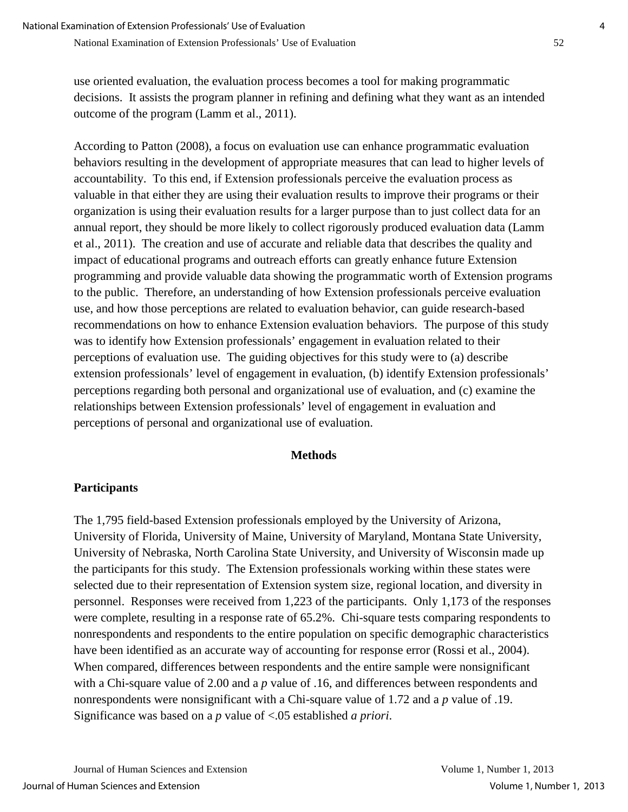use oriented evaluation, the evaluation process becomes a tool for making programmatic decisions. It assists the program planner in refining and defining what they want as an intended outcome of the program (Lamm et al., 2011).

According to Patton (2008), a focus on evaluation use can enhance programmatic evaluation behaviors resulting in the development of appropriate measures that can lead to higher levels of accountability. To this end, if Extension professionals perceive the evaluation process as valuable in that either they are using their evaluation results to improve their programs or their organization is using their evaluation results for a larger purpose than to just collect data for an annual report, they should be more likely to collect rigorously produced evaluation data (Lamm et al., 2011). The creation and use of accurate and reliable data that describes the quality and impact of educational programs and outreach efforts can greatly enhance future Extension programming and provide valuable data showing the programmatic worth of Extension programs to the public. Therefore, an understanding of how Extension professionals perceive evaluation use, and how those perceptions are related to evaluation behavior, can guide research-based recommendations on how to enhance Extension evaluation behaviors. The purpose of this study was to identify how Extension professionals' engagement in evaluation related to their perceptions of evaluation use. The guiding objectives for this study were to (a) describe extension professionals' level of engagement in evaluation, (b) identify Extension professionals' perceptions regarding both personal and organizational use of evaluation, and (c) examine the relationships between Extension professionals' level of engagement in evaluation and perceptions of personal and organizational use of evaluation.

## **Methods**

## **Participants**

The 1,795 field-based Extension professionals employed by the University of Arizona, University of Florida, University of Maine, University of Maryland, Montana State University, University of Nebraska, North Carolina State University, and University of Wisconsin made up the participants for this study. The Extension professionals working within these states were selected due to their representation of Extension system size, regional location, and diversity in personnel. Responses were received from 1,223 of the participants. Only 1,173 of the responses were complete, resulting in a response rate of 65.2%. Chi-square tests comparing respondents to nonrespondents and respondents to the entire population on specific demographic characteristics have been identified as an accurate way of accounting for response error (Rossi et al., 2004). When compared, differences between respondents and the entire sample were nonsignificant with a Chi-square value of 2.00 and a *p* value of .16, and differences between respondents and nonrespondents were nonsignificant with a Chi-square value of 1.72 and a *p* value of .19. Significance was based on a *p* value of <.05 established *a priori*.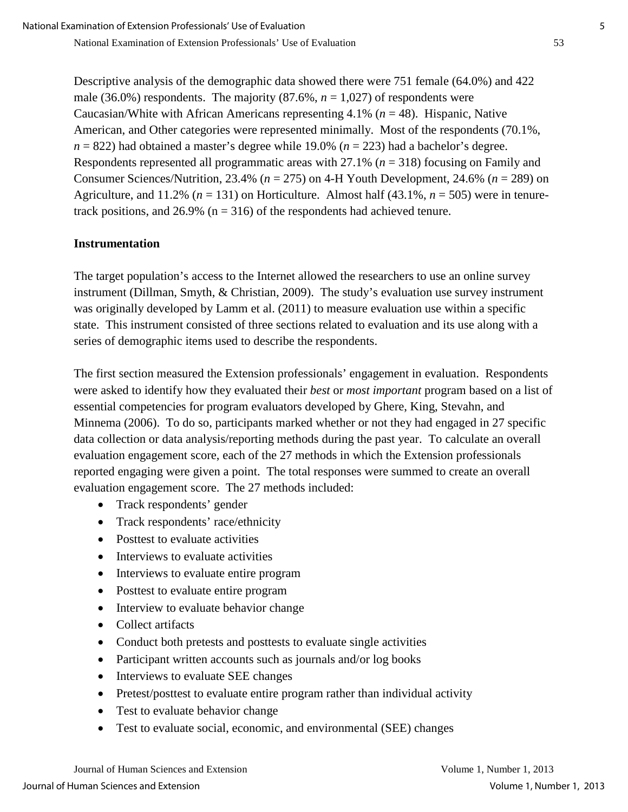Descriptive analysis of the demographic data showed there were 751 female (64.0%) and 422 male (36.0%) respondents. The majority  $(87.6\%, n = 1,027)$  of respondents were Caucasian/White with African Americans representing 4.1% (*n* = 48). Hispanic, Native American, and Other categories were represented minimally. Most of the respondents (70.1%,  $n = 822$ ) had obtained a master's degree while 19.0% ( $n = 223$ ) had a bachelor's degree. Respondents represented all programmatic areas with 27.1% (*n* = 318) focusing on Family and Consumer Sciences/Nutrition, 23.4% (*n* = 275) on 4-H Youth Development, 24.6% (*n* = 289) on Agriculture, and 11.2% ( $n = 131$ ) on Horticulture. Almost half (43.1%,  $n = 505$ ) were in tenuretrack positions, and 26.9% ( $n = 316$ ) of the respondents had achieved tenure.

### **Instrumentation**

The target population's access to the Internet allowed the researchers to use an online survey instrument (Dillman, Smyth, & Christian, 2009). The study's evaluation use survey instrument was originally developed by Lamm et al. (2011) to measure evaluation use within a specific state. This instrument consisted of three sections related to evaluation and its use along with a series of demographic items used to describe the respondents.

The first section measured the Extension professionals' engagement in evaluation. Respondents were asked to identify how they evaluated their *best* or *most important* program based on a list of essential competencies for program evaluators developed by Ghere, King, Stevahn, and Minnema (2006). To do so, participants marked whether or not they had engaged in 27 specific data collection or data analysis/reporting methods during the past year. To calculate an overall evaluation engagement score, each of the 27 methods in which the Extension professionals reported engaging were given a point. The total responses were summed to create an overall evaluation engagement score. The 27 methods included:

- Track respondents' gender
- Track respondents' race/ethnicity
- Posttest to evaluate activities
- Interviews to evaluate activities
- Interviews to evaluate entire program
- Posttest to evaluate entire program
- Interview to evaluate behavior change
- Collect artifacts
- Conduct both pretests and posttests to evaluate single activities
- Participant written accounts such as journals and/or log books
- Interviews to evaluate SEE changes
- Pretest/posttest to evaluate entire program rather than individual activity
- Test to evaluate behavior change
- Test to evaluate social, economic, and environmental (SEE) changes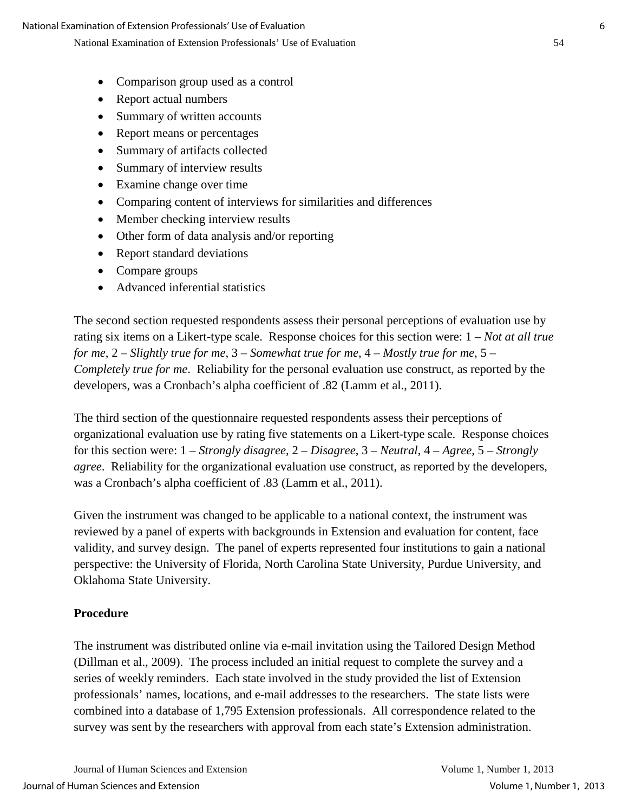- Comparison group used as a control
- Report actual numbers
- Summary of written accounts
- Report means or percentages
- Summary of artifacts collected
- Summary of interview results
- Examine change over time
- Comparing content of interviews for similarities and differences
- Member checking interview results
- Other form of data analysis and/or reporting
- Report standard deviations
- Compare groups
- Advanced inferential statistics

The second section requested respondents assess their personal perceptions of evaluation use by rating six items on a Likert-type scale. Response choices for this section were: 1 – *Not at all true for me*, 2 – *Slightly true for me*, 3 – *Somewhat true for me*, 4 – *Mostly true for me*, 5 – *Completely true for me*. Reliability for the personal evaluation use construct, as reported by the developers, was a Cronbach's alpha coefficient of .82 (Lamm et al., 2011).

The third section of the questionnaire requested respondents assess their perceptions of organizational evaluation use by rating five statements on a Likert-type scale. Response choices for this section were: 1 – *Strongly disagree*, 2 – *Disagree*, 3 – *Neutral*, 4 – *Agree*, 5 – *Strongly agree*. Reliability for the organizational evaluation use construct, as reported by the developers, was a Cronbach's alpha coefficient of .83 (Lamm et al., 2011).

Given the instrument was changed to be applicable to a national context, the instrument was reviewed by a panel of experts with backgrounds in Extension and evaluation for content, face validity, and survey design. The panel of experts represented four institutions to gain a national perspective: the University of Florida, North Carolina State University, Purdue University, and Oklahoma State University.

### **Procedure**

The instrument was distributed online via e-mail invitation using the Tailored Design Method (Dillman et al., 2009). The process included an initial request to complete the survey and a series of weekly reminders. Each state involved in the study provided the list of Extension professionals' names, locations, and e-mail addresses to the researchers. The state lists were combined into a database of 1,795 Extension professionals. All correspondence related to the survey was sent by the researchers with approval from each state's Extension administration.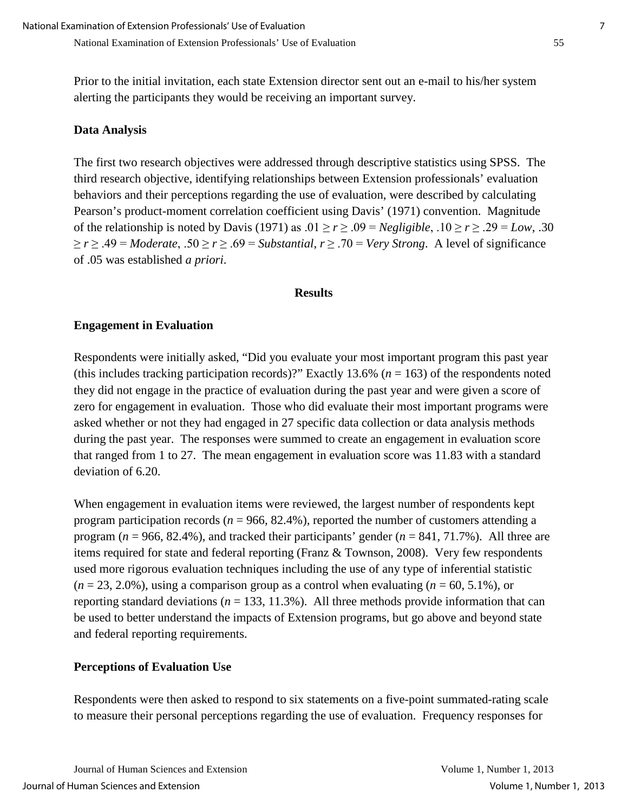Prior to the initial invitation, each state Extension director sent out an e-mail to his/her system alerting the participants they would be receiving an important survey.

### **Data Analysis**

The first two research objectives were addressed through descriptive statistics using SPSS. The third research objective, identifying relationships between Extension professionals' evaluation behaviors and their perceptions regarding the use of evaluation, were described by calculating Pearson's product-moment correlation coefficient using Davis' (1971) convention. Magnitude of the relationship is noted by Davis (1971) as  $.01 \ge r \ge .09 = Negligible$ ,  $.10 \ge r \ge .29 = Low$ ,  $.30$ ≥ *r* ≥ .49 = *Moderate*, .50 ≥ *r* ≥ .69 = *Substantial*, *r* ≥ .70 = *Very Strong*. A level of significance of .05 was established *a priori*.

#### **Results**

### **Engagement in Evaluation**

Respondents were initially asked, "Did you evaluate your most important program this past year (this includes tracking participation records)?" Exactly 13.6% (*n* = 163) of the respondents noted they did not engage in the practice of evaluation during the past year and were given a score of zero for engagement in evaluation. Those who did evaluate their most important programs were asked whether or not they had engaged in 27 specific data collection or data analysis methods during the past year. The responses were summed to create an engagement in evaluation score that ranged from 1 to 27. The mean engagement in evaluation score was 11.83 with a standard deviation of 6.20.

When engagement in evaluation items were reviewed, the largest number of respondents kept program participation records ( $n = 966, 82.4\%$ ), reported the number of customers attending a program (*n* = 966, 82.4%), and tracked their participants' gender (*n* = 841, 71.7%). All three are items required for state and federal reporting (Franz & Townson, 2008). Very few respondents used more rigorous evaluation techniques including the use of any type of inferential statistic  $(n = 23, 2.0\%)$ , using a comparison group as a control when evaluating  $(n = 60, 5.1\%)$ , or reporting standard deviations ( $n = 133, 11.3\%$ ). All three methods provide information that can be used to better understand the impacts of Extension programs, but go above and beyond state and federal reporting requirements.

#### **Perceptions of Evaluation Use**

Respondents were then asked to respond to six statements on a five-point summated-rating scale to measure their personal perceptions regarding the use of evaluation. Frequency responses for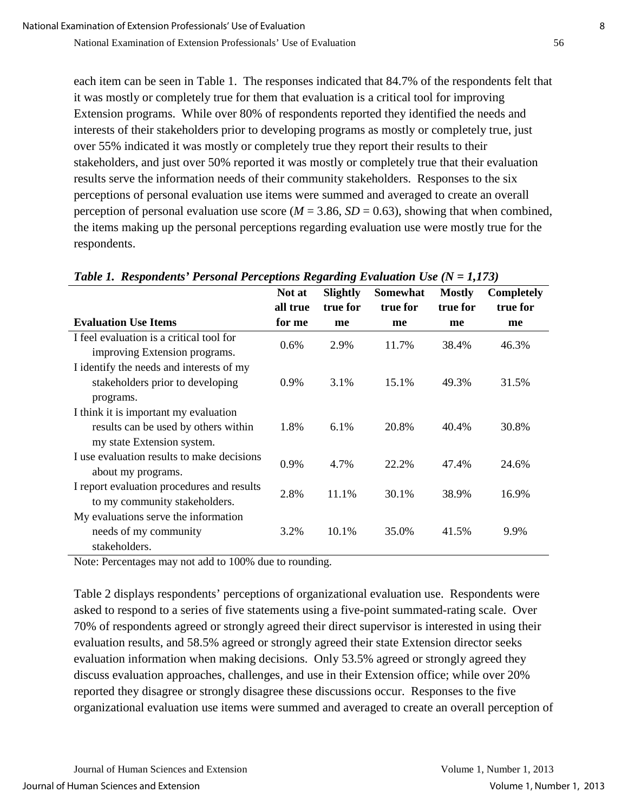each item can be seen in Table 1. The responses indicated that 84.7% of the respondents felt that it was mostly or completely true for them that evaluation is a critical tool for improving Extension programs. While over 80% of respondents reported they identified the needs and interests of their stakeholders prior to developing programs as mostly or completely true, just over 55% indicated it was mostly or completely true they report their results to their stakeholders, and just over 50% reported it was mostly or completely true that their evaluation results serve the information needs of their community stakeholders. Responses to the six perceptions of personal evaluation use items were summed and averaged to create an overall perception of personal evaluation use score ( $M = 3.86$ ,  $SD = 0.63$ ), showing that when combined, the items making up the personal perceptions regarding evaluation use were mostly true for the respondents.

|                                                                                                             | Not at<br>all true | <b>Slightly</b><br>true for | <b>Somewhat</b><br>true for | <b>Mostly</b><br>true for | <b>Completely</b><br>true for |
|-------------------------------------------------------------------------------------------------------------|--------------------|-----------------------------|-----------------------------|---------------------------|-------------------------------|
| <b>Evaluation Use Items</b>                                                                                 | for me             | me                          | me                          | me                        | me                            |
| I feel evaluation is a critical tool for<br>improving Extension programs.                                   | 0.6%               | 2.9%                        | 11.7%                       | 38.4%                     | 46.3%                         |
| I identify the needs and interests of my<br>stakeholders prior to developing<br>programs.                   | $0.9\%$            | 3.1%                        | 15.1%                       | 49.3%                     | 31.5%                         |
| I think it is important my evaluation<br>results can be used by others within<br>my state Extension system. | 1.8%               | $6.1\%$                     | 20.8%                       | 40.4%                     | 30.8%                         |
| I use evaluation results to make decisions<br>about my programs.                                            | 0.9%               | 4.7%                        | 22.2%                       | 47.4%                     | 24.6%                         |
| I report evaluation procedures and results<br>to my community stakeholders.                                 | 2.8%               | 11.1%                       | 30.1%                       | 38.9%                     | 16.9%                         |
| My evaluations serve the information<br>needs of my community<br>stakeholders.                              | 3.2%               | 10.1%                       | 35.0%                       | 41.5%                     | 9.9%                          |

*Table 1. Respondents' Personal Perceptions Regarding Evaluation Use (N = 1,173)* 

Note: Percentages may not add to 100% due to rounding.

Table 2 displays respondents' perceptions of organizational evaluation use. Respondents were asked to respond to a series of five statements using a five-point summated-rating scale. Over 70% of respondents agreed or strongly agreed their direct supervisor is interested in using their evaluation results, and 58.5% agreed or strongly agreed their state Extension director seeks evaluation information when making decisions. Only 53.5% agreed or strongly agreed they discuss evaluation approaches, challenges, and use in their Extension office; while over 20% reported they disagree or strongly disagree these discussions occur. Responses to the five organizational evaluation use items were summed and averaged to create an overall perception of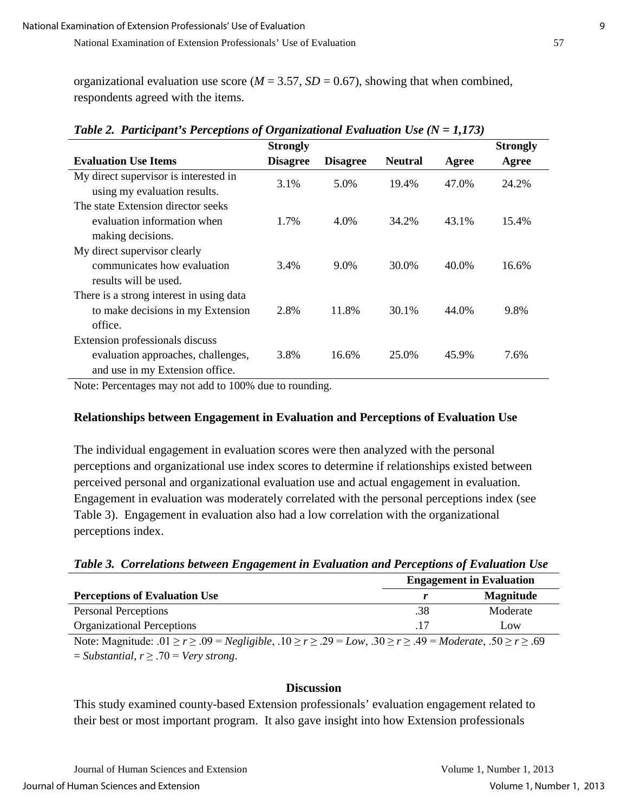organizational evaluation use score ( $M = 3.57$ ,  $SD = 0.67$ ), showing that when combined, respondents agreed with the items.

|                                          | <b>Strongly</b> |                 |                |       | <b>Strongly</b> |
|------------------------------------------|-----------------|-----------------|----------------|-------|-----------------|
| <b>Evaluation Use Items</b>              | <b>Disagree</b> | <b>Disagree</b> | <b>Neutral</b> | Agree | Agree           |
| My direct supervisor is interested in    | 3.1%            | 5.0%            | 19.4%          | 47.0% | 24.2%           |
| using my evaluation results.             |                 |                 |                |       |                 |
| The state Extension director seeks       |                 |                 |                |       |                 |
| evaluation information when              | 1.7%            | 4.0%            | 34.2%          | 43.1% | 15.4%           |
| making decisions.                        |                 |                 |                |       |                 |
| My direct supervisor clearly             |                 |                 |                |       |                 |
| communicates how evaluation              | 3.4%            | 9.0%            | 30.0%          | 40.0% | 16.6%           |
| results will be used.                    |                 |                 |                |       |                 |
| There is a strong interest in using data |                 |                 |                |       |                 |
| to make decisions in my Extension        | 2.8%            | 11.8%           | 30.1%          | 44.0% | 9.8%            |
| office.                                  |                 |                 |                |       |                 |
| Extension professionals discuss          |                 |                 |                |       |                 |
| evaluation approaches, challenges,       | 3.8%            | 16.6%           | 25.0%          | 45.9% | 7.6%            |
| and use in my Extension office.          |                 |                 |                |       |                 |

|  | Table 2. Participant's Perceptions of Organizational Evaluation Use $(N = 1,173)$ |  |
|--|-----------------------------------------------------------------------------------|--|
|  |                                                                                   |  |

Note: Percentages may not add to 100% due to rounding.

## **Relationships between Engagement in Evaluation and Perceptions of Evaluation Use**

The individual engagement in evaluation scores were then analyzed with the personal perceptions and organizational use index scores to determine if relationships existed between perceived personal and organizational evaluation use and actual engagement in evaluation. Engagement in evaluation was moderately correlated with the personal perceptions index (see Table 3). Engagement in evaluation also had a low correlation with the organizational perceptions index.

|  |  |  | Table 3. Correlations between Engagement in Evaluation and Perceptions of Evaluation Use |
|--|--|--|------------------------------------------------------------------------------------------|
|  |  |  |                                                                                          |

|                                                                                                                                      | <b>Engagement in Evaluation</b> |                  |  |
|--------------------------------------------------------------------------------------------------------------------------------------|---------------------------------|------------------|--|
| <b>Perceptions of Evaluation Use</b>                                                                                                 |                                 | <b>Magnitude</b> |  |
| <b>Personal Perceptions</b>                                                                                                          | .38                             | Moderate         |  |
| <b>Organizational Perceptions</b>                                                                                                    | -17                             | Low              |  |
| Note: Magnitude: $.01 \ge r \ge .09 = Negligible$ , $.10 \ge r \ge .29 = Low$ , $.30 \ge r \ge .49 = Moderate$ , $.50 \ge r \ge .69$ |                                 |                  |  |
| $= Substantial, r \geq .70 = Very strong.$                                                                                           |                                 |                  |  |

#### **Discussion**

This study examined county-based Extension professionals' evaluation engagement related to their best or most important program. It also gave insight into how Extension professionals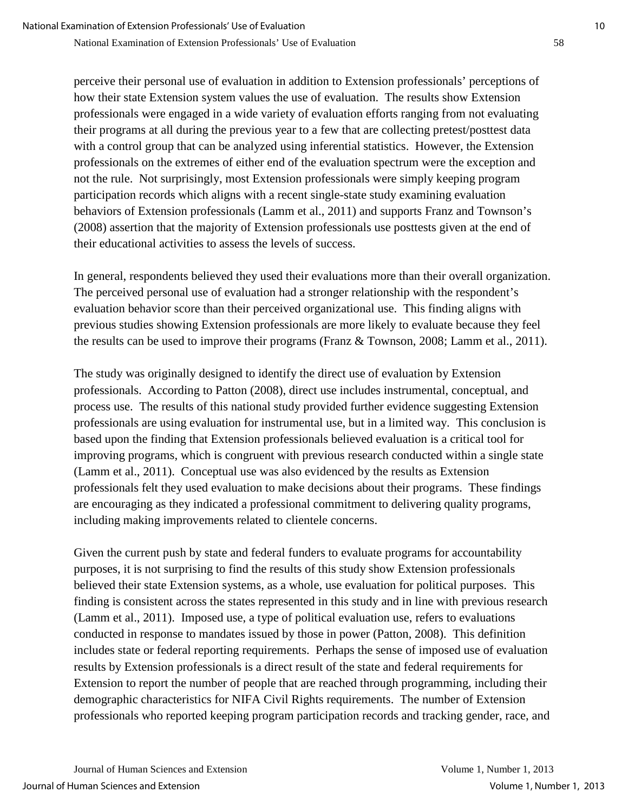perceive their personal use of evaluation in addition to Extension professionals' perceptions of how their state Extension system values the use of evaluation. The results show Extension professionals were engaged in a wide variety of evaluation efforts ranging from not evaluating their programs at all during the previous year to a few that are collecting pretest/posttest data with a control group that can be analyzed using inferential statistics. However, the Extension professionals on the extremes of either end of the evaluation spectrum were the exception and not the rule. Not surprisingly, most Extension professionals were simply keeping program participation records which aligns with a recent single-state study examining evaluation behaviors of Extension professionals (Lamm et al., 2011) and supports Franz and Townson's (2008) assertion that the majority of Extension professionals use posttests given at the end of their educational activities to assess the levels of success.

In general, respondents believed they used their evaluations more than their overall organization. The perceived personal use of evaluation had a stronger relationship with the respondent's evaluation behavior score than their perceived organizational use. This finding aligns with previous studies showing Extension professionals are more likely to evaluate because they feel the results can be used to improve their programs (Franz & Townson, 2008; Lamm et al., 2011).

The study was originally designed to identify the direct use of evaluation by Extension professionals. According to Patton (2008), direct use includes instrumental, conceptual, and process use. The results of this national study provided further evidence suggesting Extension professionals are using evaluation for instrumental use, but in a limited way. This conclusion is based upon the finding that Extension professionals believed evaluation is a critical tool for improving programs, which is congruent with previous research conducted within a single state (Lamm et al., 2011). Conceptual use was also evidenced by the results as Extension professionals felt they used evaluation to make decisions about their programs. These findings are encouraging as they indicated a professional commitment to delivering quality programs, including making improvements related to clientele concerns.

Given the current push by state and federal funders to evaluate programs for accountability purposes, it is not surprising to find the results of this study show Extension professionals believed their state Extension systems, as a whole, use evaluation for political purposes. This finding is consistent across the states represented in this study and in line with previous research (Lamm et al., 2011). Imposed use, a type of political evaluation use, refers to evaluations conducted in response to mandates issued by those in power (Patton, 2008). This definition includes state or federal reporting requirements. Perhaps the sense of imposed use of evaluation results by Extension professionals is a direct result of the state and federal requirements for Extension to report the number of people that are reached through programming, including their demographic characteristics for NIFA Civil Rights requirements. The number of Extension professionals who reported keeping program participation records and tracking gender, race, and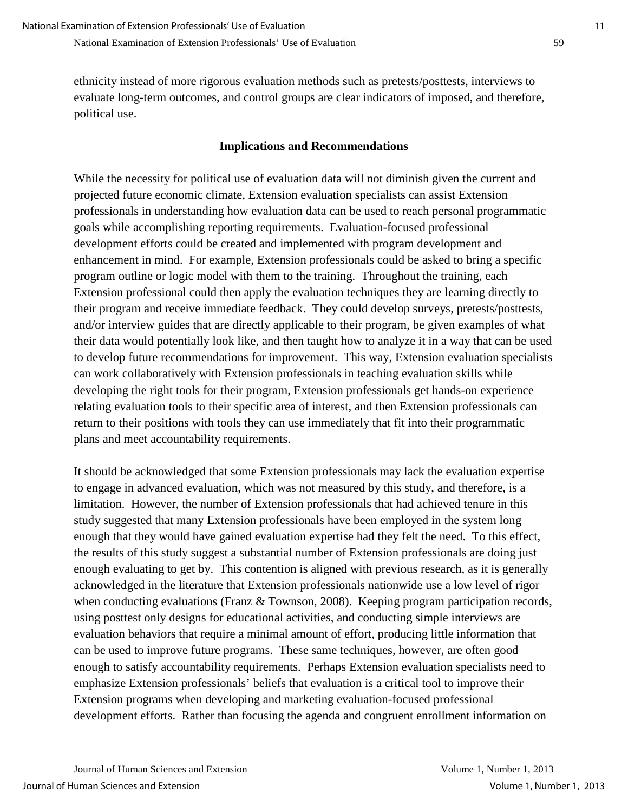ethnicity instead of more rigorous evaluation methods such as pretests/posttests, interviews to evaluate long-term outcomes, and control groups are clear indicators of imposed, and therefore, political use.

# **Implications and Recommendations**

While the necessity for political use of evaluation data will not diminish given the current and projected future economic climate, Extension evaluation specialists can assist Extension professionals in understanding how evaluation data can be used to reach personal programmatic goals while accomplishing reporting requirements. Evaluation-focused professional development efforts could be created and implemented with program development and enhancement in mind. For example, Extension professionals could be asked to bring a specific program outline or logic model with them to the training. Throughout the training, each Extension professional could then apply the evaluation techniques they are learning directly to their program and receive immediate feedback. They could develop surveys, pretests/posttests, and/or interview guides that are directly applicable to their program, be given examples of what their data would potentially look like, and then taught how to analyze it in a way that can be used to develop future recommendations for improvement. This way, Extension evaluation specialists can work collaboratively with Extension professionals in teaching evaluation skills while developing the right tools for their program, Extension professionals get hands-on experience relating evaluation tools to their specific area of interest, and then Extension professionals can return to their positions with tools they can use immediately that fit into their programmatic plans and meet accountability requirements.

It should be acknowledged that some Extension professionals may lack the evaluation expertise to engage in advanced evaluation, which was not measured by this study, and therefore, is a limitation. However, the number of Extension professionals that had achieved tenure in this study suggested that many Extension professionals have been employed in the system long enough that they would have gained evaluation expertise had they felt the need. To this effect, the results of this study suggest a substantial number of Extension professionals are doing just enough evaluating to get by. This contention is aligned with previous research, as it is generally acknowledged in the literature that Extension professionals nationwide use a low level of rigor when conducting evaluations (Franz & Townson, 2008). Keeping program participation records, using posttest only designs for educational activities, and conducting simple interviews are evaluation behaviors that require a minimal amount of effort, producing little information that can be used to improve future programs. These same techniques, however, are often good enough to satisfy accountability requirements. Perhaps Extension evaluation specialists need to emphasize Extension professionals' beliefs that evaluation is a critical tool to improve their Extension programs when developing and marketing evaluation-focused professional development efforts. Rather than focusing the agenda and congruent enrollment information on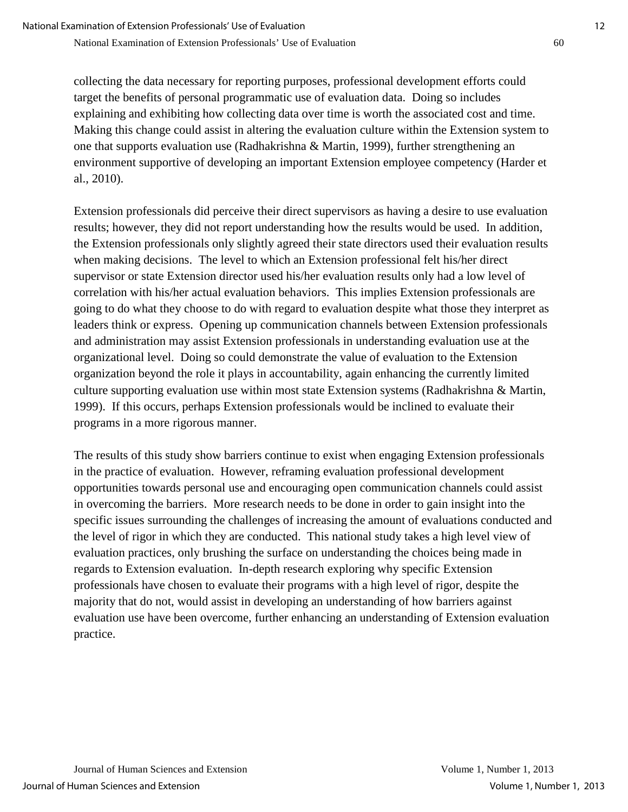collecting the data necessary for reporting purposes, professional development efforts could target the benefits of personal programmatic use of evaluation data. Doing so includes explaining and exhibiting how collecting data over time is worth the associated cost and time. Making this change could assist in altering the evaluation culture within the Extension system to one that supports evaluation use (Radhakrishna & Martin, 1999), further strengthening an environment supportive of developing an important Extension employee competency (Harder et al., 2010).

Extension professionals did perceive their direct supervisors as having a desire to use evaluation results; however, they did not report understanding how the results would be used. In addition, the Extension professionals only slightly agreed their state directors used their evaluation results when making decisions. The level to which an Extension professional felt his/her direct supervisor or state Extension director used his/her evaluation results only had a low level of correlation with his/her actual evaluation behaviors. This implies Extension professionals are going to do what they choose to do with regard to evaluation despite what those they interpret as leaders think or express. Opening up communication channels between Extension professionals and administration may assist Extension professionals in understanding evaluation use at the organizational level. Doing so could demonstrate the value of evaluation to the Extension organization beyond the role it plays in accountability, again enhancing the currently limited culture supporting evaluation use within most state Extension systems (Radhakrishna & Martin, 1999). If this occurs, perhaps Extension professionals would be inclined to evaluate their programs in a more rigorous manner.

The results of this study show barriers continue to exist when engaging Extension professionals in the practice of evaluation. However, reframing evaluation professional development opportunities towards personal use and encouraging open communication channels could assist in overcoming the barriers. More research needs to be done in order to gain insight into the specific issues surrounding the challenges of increasing the amount of evaluations conducted and the level of rigor in which they are conducted. This national study takes a high level view of evaluation practices, only brushing the surface on understanding the choices being made in regards to Extension evaluation. In-depth research exploring why specific Extension professionals have chosen to evaluate their programs with a high level of rigor, despite the majority that do not, would assist in developing an understanding of how barriers against evaluation use have been overcome, further enhancing an understanding of Extension evaluation practice.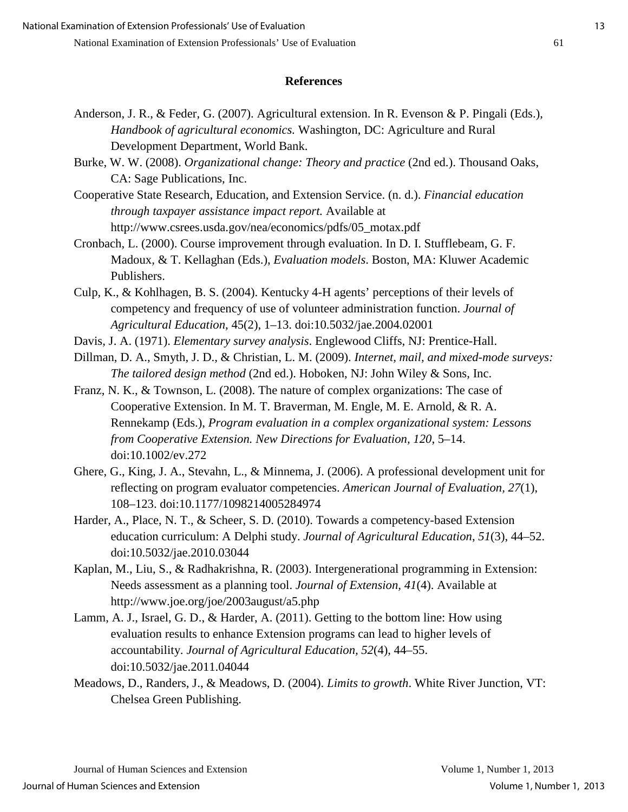# **References**

- Anderson, J. R., & Feder, G. (2007). Agricultural extension. In R. Evenson & P. Pingali (Eds.), *Handbook of agricultural economics.* Washington, DC: Agriculture and Rural Development Department, World Bank.
- Burke, W. W. (2008). *Organizational change: Theory and practice* (2nd ed.). Thousand Oaks, CA: Sage Publications, Inc.
- Cooperative State Research, Education, and Extension Service. (n. d.). *Financial education through taxpayer assistance impact report.* Available at http://www.csrees.usda.gov/nea/economics/pdfs/05\_motax.pdf
- Cronbach, L. (2000). Course improvement through evaluation. In D. I. Stufflebeam, G. F. Madoux, & T. Kellaghan (Eds.), *Evaluation models*. Boston, MA: Kluwer Academic Publishers.
- Culp, K., & Kohlhagen, B. S. (2004). Kentucky 4-H agents' perceptions of their levels of competency and frequency of use of volunteer administration function. *Journal of Agricultural Education*, 45(2), 1–13. doi:10.5032/jae.2004.02001
- Davis, J. A. (1971). *Elementary survey analysis*. Englewood Cliffs, NJ: Prentice-Hall.
- Dillman, D. A., Smyth, J. D., & Christian, L. M. (2009). *Internet, mail, and mixed-mode surveys: The tailored design method* (2nd ed.). Hoboken, NJ: John Wiley & Sons, Inc.
- Franz, N. K., & Townson, L. (2008). The nature of complex organizations: The case of Cooperative Extension. In M. T. Braverman, M. Engle, M. E. Arnold, & R. A. Rennekamp (Eds.), *Program evaluation in a complex organizational system: Lessons from Cooperative Extension. New Directions for Evaluation, 120*, 5–14. doi:10.1002/ev.272
- Ghere, G., King, J. A., Stevahn, L., & Minnema, J. (2006). A professional development unit for reflecting on program evaluator competencies. *American Journal of Evaluation, 27*(1), 108–123. doi:10.1177/1098214005284974
- Harder, A., Place, N. T., & Scheer, S. D. (2010). Towards a competency-based Extension education curriculum: A Delphi study. *Journal of Agricultural Education*, *51*(3), 44–52. doi:10.5032/jae.2010.03044
- Kaplan, M., Liu, S., & Radhakrishna, R. (2003). Intergenerational programming in Extension: Needs assessment as a planning tool. *Journal of Extension, 41*(4). Available at http://www.joe.org/joe/2003august/a5.php
- Lamm, A. J., Israel, G. D., & Harder, A. (2011). Getting to the bottom line: How using evaluation results to enhance Extension programs can lead to higher levels of accountability. *Journal of Agricultural Education, 52*(4), 44–55. doi:10.5032/jae.2011.04044
- Meadows, D., Randers, J., & Meadows, D. (2004). *Limits to growth*. White River Junction, VT: Chelsea Green Publishing.